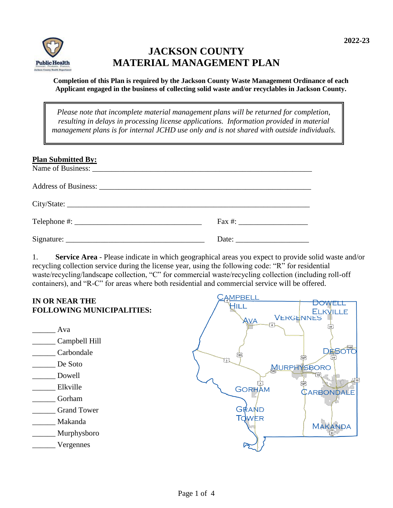

# **JACKSON COUNTY MATERIAL MANAGEMENT PLAN**

**Completion of this Plan is required by the Jackson County Waste Management Ordinance of each Applicant engaged in the business of collecting solid waste and/or recyclables in Jackson County.**

*Please note that incomplete material management plans will be returned for completion, resulting in delays in processing license applications. Information provided in material management plans is for internal JCHD use only and is not shared with outside individuals.* 

| <b>Plan Submitted By:</b> |  |
|---------------------------|--|
|                           |  |
|                           |  |
|                           |  |
|                           |  |

1. **Service Area** - Please indicate in which geographical areas you expect to provide solid waste and/or recycling collection service during the license year, using the following code: "R" for residential waste/recycling/landscape collection, "C" for commercial waste/recycling collection (including roll-off containers), and "R-C" for areas where both residential and commercial service will be offered.

#### **AMPBELI IN OR NEAR THE DOWELL** HILL **FOLLOWING MUNICIPALITIES: ELKVILLE VERGENNES** AVA  $57$  $\sum$ <sub>51</sub> $\sum$ \_\_\_\_\_\_ Ava \_\_\_\_\_\_ Campbell Hill DÈ \_\_\_\_\_\_ Carbondale  $\widetilde{751}$  $\{127\}$ \_\_\_\_\_\_ De Soto MURPHYSBORO \_\_\_\_\_\_ Dowell  $\sqrt{3}$  $\frac{1}{127}$ Elkville **GORHAM** CARBONDALE \_\_\_\_\_\_ Gorham GRAND \_\_\_\_\_\_ Grand Tower TOWER \_\_\_\_\_\_ Makanda **MAKANDA** \_\_\_\_\_\_ Murphysboro \_\_\_\_\_\_ Vergennes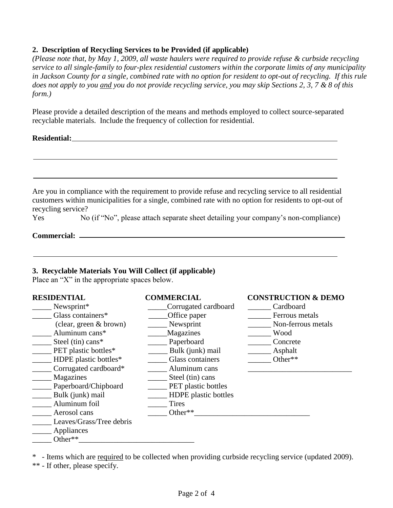#### **2. Description of Recycling Services to be Provided (if applicable)**

*(Please note that, by May 1, 2009, all waste haulers were required to provide refuse & curbside recycling service to all single-family to four-plex residential customers within the corporate limits of any municipality in Jackson County for a single, combined rate with no option for resident to opt-out of recycling. If this rule does not apply to you and you do not provide recycling service, you may skip Sections 2, 3, 7 & 8 of this form.)*

Please provide a detailed description of the means and methods employed to collect source-separated recyclable materials. Include the frequency of collection for residential.

#### **Residential:**

| recycling service? | Are you in compliance with the requirement to provide refuse and recycling service to all residential<br>customers within municipalities for a single, combined rate with no option for residents to opt-out of |
|--------------------|-----------------------------------------------------------------------------------------------------------------------------------------------------------------------------------------------------------------|
| Yes                | No (if "No", please attach separate sheet detailing your company's non-compliance)                                                                                                                              |
|                    |                                                                                                                                                                                                                 |
|                    |                                                                                                                                                                                                                 |

#### **3. Recyclable Materials You Will Collect (if applicable)**

Place an "X" in the appropriate spaces below.

# **RESIDENTIAL COMMERCIAL CONSTRUCTION & DEMO** \_\_\_\_\_ Newsprint\* \_\_\_\_\_Corrugated cardboard \_\_\_\_\_\_ Cardboard \_\_\_\_\_ Glass containers\* \_\_\_\_\_Office paper \_\_\_\_\_\_ Ferrous metals (clear, green & brown) \_\_\_\_\_ Newsprint \_\_\_\_\_\_ Non-ferrous metals  $\overline{\text{Aluminum cans*}}$  Magazines \_\_\_\_\_ Steel (tin) cans\* \_\_\_\_\_ Paperboard \_\_\_\_\_\_ Concrete Lacker PET plastic bottles\* and all all times Bulk (junk) mail and all appearance Asphalt \_\_\_\_\_ HDPE plastic bottles\* \_\_\_\_\_ Glass containers \_\_\_\_\_\_ Other\*\* \_\_\_\_\_ Corrugated cardboard\* \_\_\_\_\_ Aluminum cans \_\_\_\_\_\_\_\_\_\_\_\_\_\_\_\_\_\_\_\_\_\_\_\_\_\_\_ \_\_\_\_\_ Magazines \_\_\_\_\_ Steel (tin) cans \_\_\_\_\_ Paperboard/Chipboard \_\_\_\_\_ PET plastic bottles \_\_\_\_\_ Bulk (junk) mail \_\_\_\_\_ HDPE plastic bottles Aluminum foil Tires Let a a series a series and the series of the series  $\sim$  Other\*\* \_\_\_\_\_ Leaves/Grass/Tree debris \_\_\_\_\_ Appliances Other\*\*

\* - Items which are required to be collected when providing curbside recycling service (updated 2009).

\*\* - If other, please specify.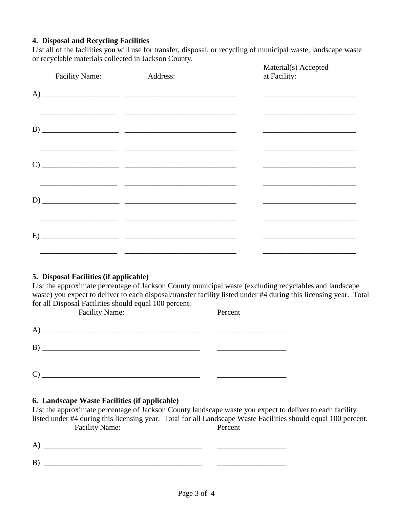# **4. Disposal and Recycling Facilities**

List all of the facilities you will use for transfer, disposal, or recycling of municipal waste, landscape waste or recyclable materials collected in Jackson County.

| <b>Facility Name:</b> | Address: | Material(s) Accepted<br>at Facility: |
|-----------------------|----------|--------------------------------------|
|                       |          |                                      |
|                       |          |                                      |
|                       |          |                                      |
|                       |          |                                      |
|                       |          |                                      |
|                       |          |                                      |

# **5. Disposal Facilities (if applicable)**

List the approximate percentage of Jackson County municipal waste (excluding recyclables and landscape waste) you expect to deliver to each disposal/transfer facility listed under #4 during this licensing year. Total for all Disposal Facilities should equal 100 percent.

|   | <b>Facility Name:</b>                                                                                                 | Percent |
|---|-----------------------------------------------------------------------------------------------------------------------|---------|
| A | <u>experimental product</u> the control of the control of the control of the control of the control of the control of |         |
| B |                                                                                                                       |         |
|   |                                                                                                                       |         |

# **6. Landscape Waste Facilities (if applicable)**

List the approximate percentage of Jackson County landscape waste you expect to deliver to each facility listed under #4 during this licensing year. Total for all Landscape Waste Facilities should equal 100 percent. Facility Name: Percent

 $)$   $\qquad \qquad$  $B)$